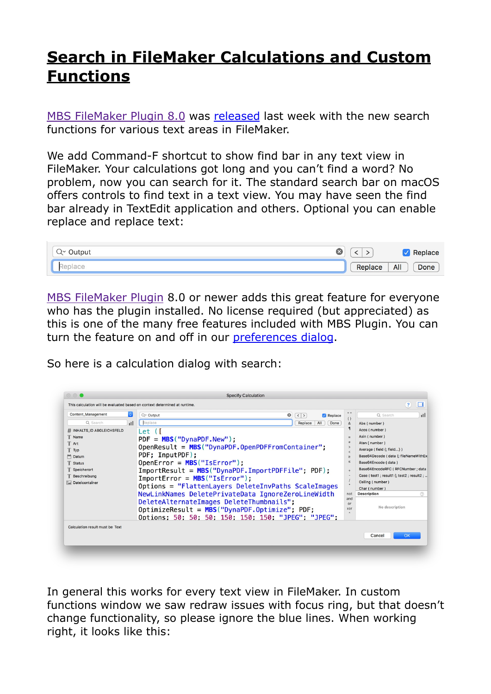## **[Search in FileMaker Calculations and Custom](https://www.mbs-plugins.com/archive/2018-01-30/Search_in_FileMaker_Calculatio/monkeybreadsoftware_blog_filemaker)  [Functions](https://www.mbs-plugins.com/archive/2018-01-30/Search_in_FileMaker_Calculatio/monkeybreadsoftware_blog_filemaker)**

[MBS FileMaker Plugin 8.0](http://www.monkeybreadsoftware.de/filemaker/) was [released](http://www.mbs-plugins.com/archive/2018-01-23/MBS_FileMaker_Plugin_80_-_More/monkeybreadsoftware_blog_filemaker) last week with the new search functions for various text areas in FileMaker.

We add Command-F shortcut to show find bar in any text view in FileMaker. Your calculations got long and you can't find a word? No problem, now you can search for it. The standard search bar on macOS offers controls to find text in a text view. You may have seen the find bar already in TextEdit application and others. Optional you can enable replace and replace text:

| Output | . .     | Replace            |
|--------|---------|--------------------|
| $\sim$ | Replace | All<br><b>Done</b> |

[MBS FileMaker Plugin](http://www.monkeybreadsoftware.de/filemaker/) 8.0 or newer adds this great feature for everyone who has the plugin installed. No license required (but appreciated) as this is one of the many free features included with MBS Plugin. You can turn the feature on and off in our [preferences dialog](https://www.mbsplugins.de/archive/2017-05-04/New_Preferences_Dialog_for_MBS).

So here is a calculation dialog with search:

| <b>Content Management</b>        | $\Diamond$<br>Q~ Output                                                                 | ۰<br>$\left($ $\left\langle \right.$ $\right\rangle$<br>Replace |                                            | Q Search<br>пH                                               |  |
|----------------------------------|-----------------------------------------------------------------------------------------|-----------------------------------------------------------------|--------------------------------------------|--------------------------------------------------------------|--|
| Q Search                         | Replace<br>пI                                                                           | All<br>Replace<br>Done                                          | ( )<br>8                                   | Abs (number)                                                 |  |
| # INHALTS_ID ABGLEICHSFELD       | Let ([                                                                                  |                                                                 |                                            | Acos (number)                                                |  |
| T Name                           | $PDF = MBS("Dynamic, New");$                                                            |                                                                 | $\overline{a}$                             | Asin (number)                                                |  |
| T Art                            | $OpenResult = MBS("Dynamic: OpenPDFFromContainer":$                                     |                                                                 | <b>z</b><br>$\mathbf{r}$                   | Atan (number)                                                |  |
| T Typ                            | PDF; InputPDF);                                                                         |                                                                 |                                            | Average (field {; field})                                    |  |
| P Datum                          |                                                                                         |                                                                 | $\geq$<br>$\leq$                           | Base64Decode ( data {; fileNameWithEx<br>Base64Encode (data) |  |
| <b>T</b> Status<br>T Speicherort | $OpenError = MBS("ISError");$                                                           |                                                                 |                                            | Base64EncodeRFC (RFCNumber ; data                            |  |
| Beschreibung                     | $ImportResult = MBS("Dynamic, ImportPDFFile"; PDF);$<br>$ImportError = MBS("IsError");$ | $\ddot{}$                                                       | Case (test1 ; result1 {; test2 ; result2 ; |                                                              |  |
| Dateicontainer                   |                                                                                         |                                                                 | Ceiling (number)                           |                                                              |  |
|                                  | Options = "FlattenLayers DeleteInvPaths ScaleImages                                     |                                                                 |                                            | Char (number)                                                |  |
|                                  | NewLinkNames DeletePrivateData IgnoreZeroLineWidth                                      | not<br>and                                                      | <b>Description</b><br>(2)                  |                                                              |  |
|                                  | DeleteAlternateImages DeleteThumbnails";                                                |                                                                 | $\Omega$ r                                 |                                                              |  |
|                                  | $OptimizeResult = MBS("Dynamic.Optimize"; PDF;$                                         |                                                                 |                                            | No description                                               |  |
|                                  | Options: 50: 50: 50: 150: 150: 150: "JPEG": "JPEG":                                     |                                                                 |                                            |                                                              |  |
| Calculation result must be Text  |                                                                                         |                                                                 |                                            |                                                              |  |
|                                  |                                                                                         |                                                                 |                                            | OK                                                           |  |
|                                  |                                                                                         |                                                                 |                                            | Cancel                                                       |  |

In general this works for every text view in FileMaker. In custom functions window we saw redraw issues with focus ring, but that doesn't change functionality, so please ignore the blue lines. When working right, it looks like this: